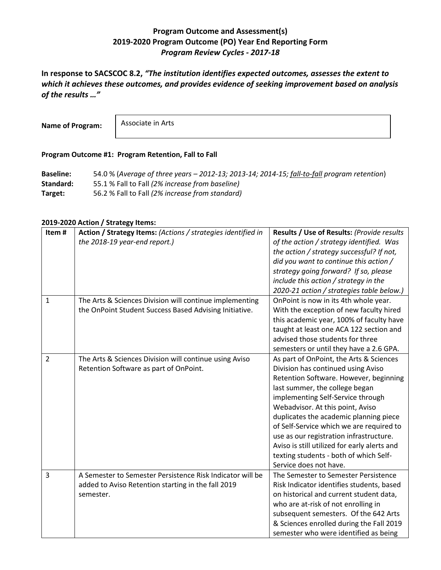## **Program Outcome and Assessment(s) 2019-2020 Program Outcome (PO) Year End Reporting Form** *Program Review Cycles - 2017-18*

**In response to SACSCOC 8.2,** *"The institution identifies expected outcomes, assesses the extent to which it achieves these outcomes, and provides evidence of seeking improvement based on analysis of the results …"*

**Name of Program:**

Associate in Arts

## **Program Outcome #1: Program Retention, Fall to Fall**

**Baseline:** 54.0 % (*Average of three years – 2012-13; 2013-14; 2014-15; fall-to-fall program retention*) **Standard:** 55.1 % Fall to Fall *(2% increase from baseline)* **Target:** 56.2 % Fall to Fall *(2% increase from standard)*

## **2019-2020 Action / Strategy Items:**

| Item#          | Action / Strategy Items: (Actions / strategies identified in | Results / Use of Results: (Provide results   |
|----------------|--------------------------------------------------------------|----------------------------------------------|
|                | the 2018-19 year-end report.)                                | of the action / strategy identified. Was     |
|                |                                                              | the action / strategy successful? If not,    |
|                |                                                              | did you want to continue this action /       |
|                |                                                              | strategy going forward? If so, please        |
|                |                                                              | include this action / strategy in the        |
|                |                                                              | 2020-21 action / strategies table below.)    |
| $\mathbf{1}$   | The Arts & Sciences Division will continue implementing      | OnPoint is now in its 4th whole year.        |
|                | the OnPoint Student Success Based Advising Initiative.       | With the exception of new faculty hired      |
|                |                                                              | this academic year, 100% of faculty have     |
|                |                                                              | taught at least one ACA 122 section and      |
|                |                                                              | advised those students for three             |
|                |                                                              | semesters or until they have a 2.6 GPA.      |
| $\overline{2}$ | The Arts & Sciences Division will continue using Aviso       | As part of OnPoint, the Arts & Sciences      |
|                | Retention Software as part of OnPoint.                       | Division has continued using Aviso           |
|                |                                                              | Retention Software. However, beginning       |
|                |                                                              | last summer, the college began               |
|                |                                                              | implementing Self-Service through            |
|                |                                                              | Webadvisor. At this point, Aviso             |
|                |                                                              | duplicates the academic planning piece       |
|                |                                                              | of Self-Service which we are required to     |
|                |                                                              | use as our registration infrastructure.      |
|                |                                                              | Aviso is still utilized for early alerts and |
|                |                                                              | texting students - both of which Self-       |
|                |                                                              | Service does not have.                       |
| 3              | A Semester to Semester Persistence Risk Indicator will be    | The Semester to Semester Persistence         |
|                | added to Aviso Retention starting in the fall 2019           | Risk Indicator identifies students, based    |
|                | semester.                                                    | on historical and current student data,      |
|                |                                                              | who are at-risk of not enrolling in          |
|                |                                                              | subsequent semesters. Of the 642 Arts        |
|                |                                                              | & Sciences enrolled during the Fall 2019     |
|                |                                                              | semester who were identified as being        |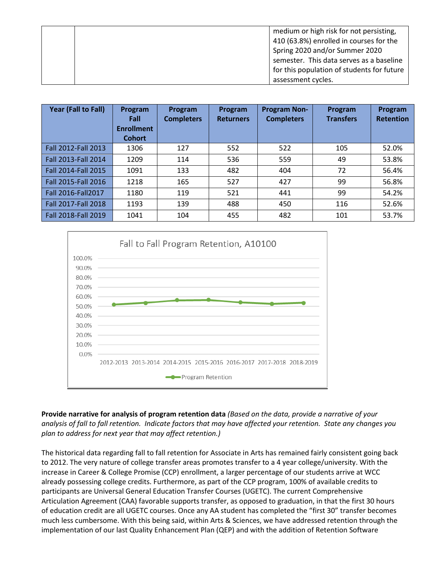|  | medium or high risk for not persisting,    |
|--|--------------------------------------------|
|  | 410 (63.8%) enrolled in courses for the    |
|  | Spring 2020 and/or Summer 2020             |
|  | semester. This data serves as a baseline   |
|  | for this population of students for future |
|  | assessment cycles.                         |

| Year (Fall to Fall) | Program<br>Fall<br><b>Enrollment</b><br><b>Cohort</b> | Program<br><b>Completers</b> | Program<br><b>Returners</b> | <b>Program Non-</b><br><b>Completers</b> | Program<br><b>Transfers</b> | Program<br><b>Retention</b> |
|---------------------|-------------------------------------------------------|------------------------------|-----------------------------|------------------------------------------|-----------------------------|-----------------------------|
| Fall 2012-Fall 2013 | 1306                                                  | 127                          | 552                         | 522                                      | 105                         | 52.0%                       |
| Fall 2013-Fall 2014 | 1209                                                  | 114                          | 536                         | 559                                      | 49                          | 53.8%                       |
| Fall 2014-Fall 2015 | 1091                                                  | 133                          | 482                         | 404                                      | 72                          | 56.4%                       |
| Fall 2015-Fall 2016 | 1218                                                  | 165                          | 527                         | 427                                      | 99                          | 56.8%                       |
| Fall 2016-Fall 2017 | 1180                                                  | 119                          | 521                         | 441                                      | 99                          | 54.2%                       |
| Fall 2017-Fall 2018 | 1193                                                  | 139                          | 488                         | 450                                      | 116                         | 52.6%                       |
| Fall 2018-Fall 2019 | 1041                                                  | 104                          | 455                         | 482                                      | 101                         | 53.7%                       |



**Provide narrative for analysis of program retention data** *(Based on the data, provide a narrative of your analysis of fall to fall retention. Indicate factors that may have affected your retention. State any changes you plan to address for next year that may affect retention.)*

The historical data regarding fall to fall retention for Associate in Arts has remained fairly consistent going back to 2012. The very nature of college transfer areas promotes transfer to a 4 year college/university. With the increase in Career & College Promise (CCP) enrollment, a larger percentage of our students arrive at WCC already possessing college credits. Furthermore, as part of the CCP program, 100% of available credits to participants are Universal General Education Transfer Courses (UGETC). The current Comprehensive Articulation Agreement (CAA) favorable supports transfer, as opposed to graduation, in that the first 30 hours of education credit are all UGETC courses. Once any AA student has completed the "first 30" transfer becomes much less cumbersome. With this being said, within Arts & Sciences, we have addressed retention through the implementation of our last Quality Enhancement Plan (QEP) and with the addition of Retention Software